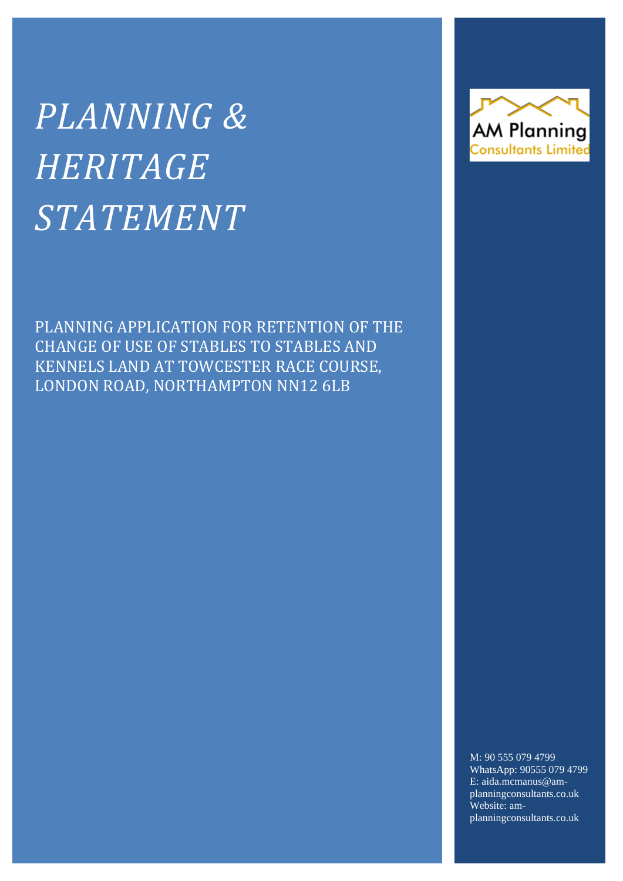# *PLANNING & HERITAGE STATEMENT*

PLANNING APPLICATION FOR RETENTION OF THE CHANGE OF USE OF STABLES TO STABLES AND KENNELS LAND AT TOWCESTER RACE COURSE, LONDON ROAD, NORTHAMPTON NN12 6LB



M: 90 555 079 4799 WhatsApp: 90555 079 4799 E: aida.mcmanus@amplanningconsultants.co.uk Website: amplanningconsultants.co.uk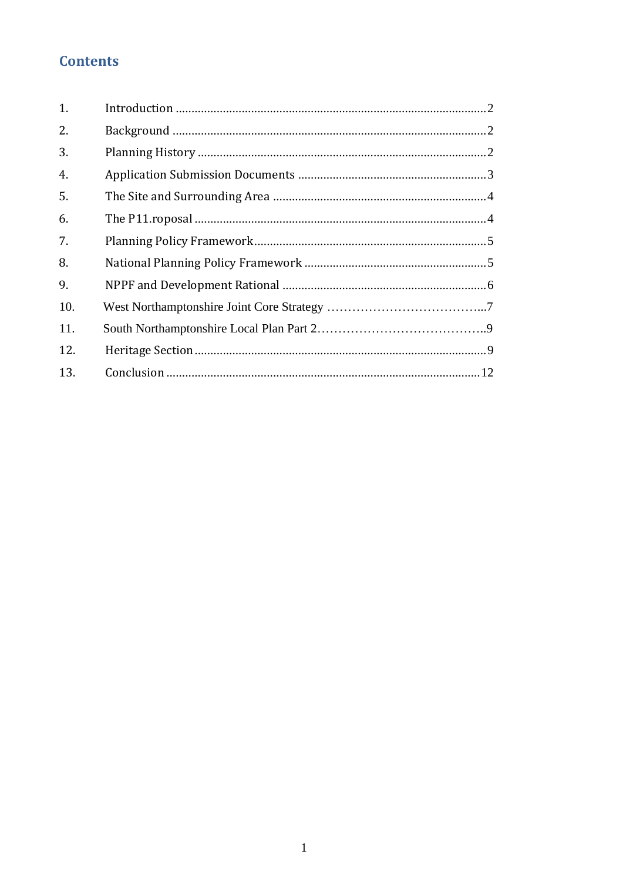## **Contents**

| 1.  |  |
|-----|--|
| 2.  |  |
| 3.  |  |
| 4.  |  |
| 5.  |  |
| 6.  |  |
| 7.  |  |
| 8.  |  |
| 9.  |  |
| 10. |  |
| 11. |  |
| 12. |  |
| 13. |  |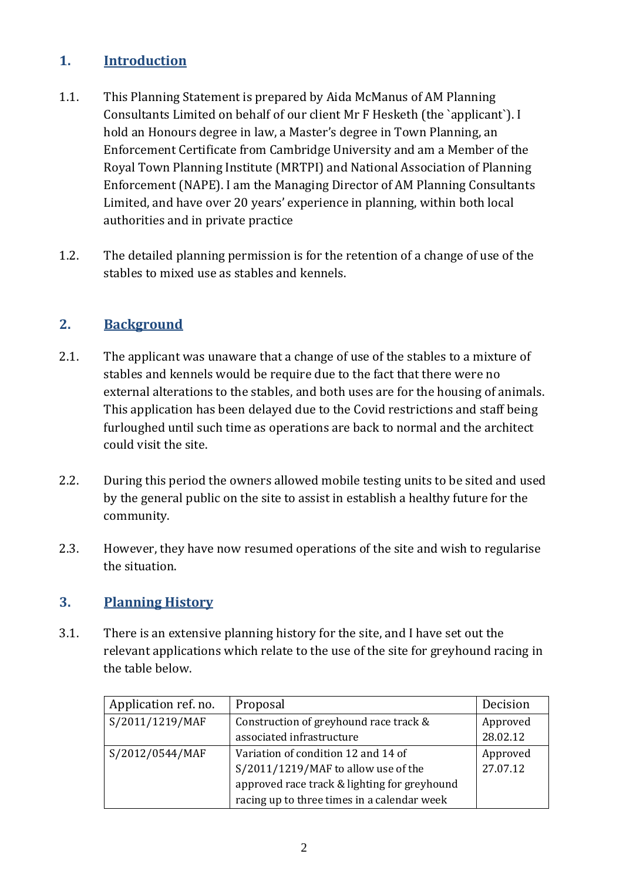## <span id="page-2-0"></span>**1. Introduction**

- 1.1. This Planning Statement is prepared by Aida McManus of AM Planning Consultants Limited on behalf of our client Mr F Hesketh (the `applicant`). I hold an Honours degree in law, a Master's degree in Town Planning, an Enforcement Certificate from Cambridge University and am a Member of the Royal Town Planning Institute (MRTPI) and National Association of Planning Enforcement (NAPE). I am the Managing Director of AM Planning Consultants Limited, and have over 20 years' experience in planning, within both local authorities and in private practice
- 1.2. The detailed planning permission is for the retention of a change of use of the stables to mixed use as stables and kennels.

## <span id="page-2-1"></span>**2. Background**

- 2.1. The applicant was unaware that a change of use of the stables to a mixture of stables and kennels would be require due to the fact that there were no external alterations to the stables, and both uses are for the housing of animals. This application has been delayed due to the Covid restrictions and staff being furloughed until such time as operations are back to normal and the architect could visit the site.
- 2.2. During this period the owners allowed mobile testing units to be sited and used by the general public on the site to assist in establish a healthy future for the community.
- 2.3. However, they have now resumed operations of the site and wish to regularise the situation.

#### <span id="page-2-2"></span>**3. Planning History**

3.1. There is an extensive planning history for the site, and I have set out the relevant applications which relate to the use of the site for greyhound racing in the table below.

| Application ref. no. | Proposal                                     | Decision |
|----------------------|----------------------------------------------|----------|
| S/2011/1219/MAF      | Construction of greyhound race track &       | Approved |
|                      | associated infrastructure                    | 28.02.12 |
| S/2012/0544/MAF      | Variation of condition 12 and 14 of          | Approved |
|                      | S/2011/1219/MAF to allow use of the          | 27.07.12 |
|                      | approved race track & lighting for greyhound |          |
|                      | racing up to three times in a calendar week  |          |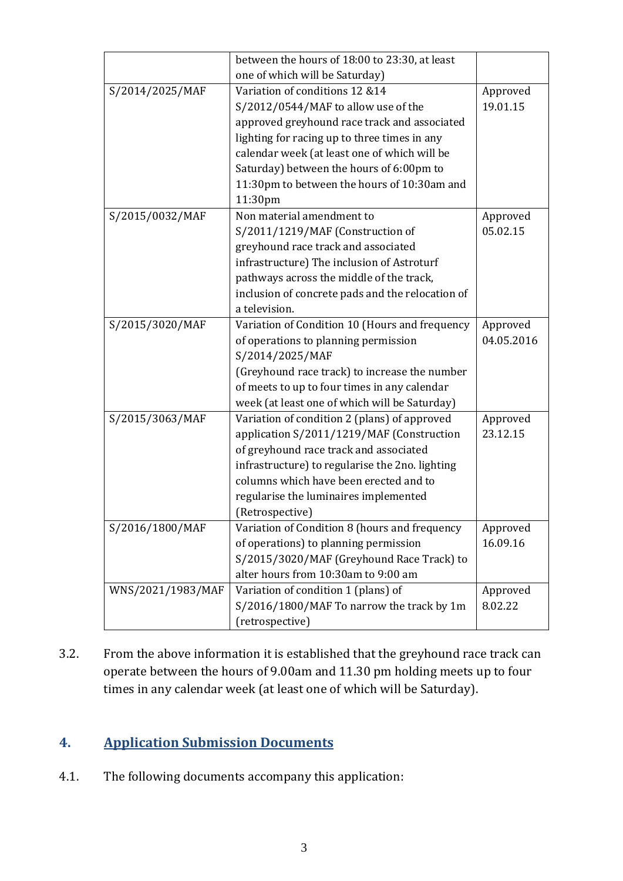|                   | between the hours of 18:00 to 23:30, at least    |            |
|-------------------|--------------------------------------------------|------------|
|                   | one of which will be Saturday)                   |            |
| S/2014/2025/MAF   | Variation of conditions 12 &14                   | Approved   |
|                   | S/2012/0544/MAF to allow use of the              | 19.01.15   |
|                   | approved greyhound race track and associated     |            |
|                   | lighting for racing up to three times in any     |            |
|                   | calendar week (at least one of which will be     |            |
|                   | Saturday) between the hours of 6:00pm to         |            |
|                   | 11:30pm to between the hours of 10:30am and      |            |
|                   | 11:30pm                                          |            |
| S/2015/0032/MAF   | Non material amendment to                        | Approved   |
|                   | S/2011/1219/MAF (Construction of                 | 05.02.15   |
|                   | greyhound race track and associated              |            |
|                   | infrastructure) The inclusion of Astroturf       |            |
|                   | pathways across the middle of the track,         |            |
|                   | inclusion of concrete pads and the relocation of |            |
|                   | a television.                                    |            |
| S/2015/3020/MAF   | Variation of Condition 10 (Hours and frequency   | Approved   |
|                   | of operations to planning permission             | 04.05.2016 |
|                   | S/2014/2025/MAF                                  |            |
|                   | (Greyhound race track) to increase the number    |            |
|                   | of meets to up to four times in any calendar     |            |
|                   | week (at least one of which will be Saturday)    |            |
| S/2015/3063/MAF   | Variation of condition 2 (plans) of approved     | Approved   |
|                   | application S/2011/1219/MAF (Construction        | 23.12.15   |
|                   | of greyhound race track and associated           |            |
|                   | infrastructure) to regularise the 2no. lighting  |            |
|                   | columns which have been erected and to           |            |
|                   | regularise the luminaires implemented            |            |
|                   | (Retrospective)                                  |            |
| S/2016/1800/MAF   | Variation of Condition 8 (hours and frequency    | Approved   |
|                   | of operations) to planning permission            | 16.09.16   |
|                   | S/2015/3020/MAF (Greyhound Race Track) to        |            |
|                   | alter hours from 10:30am to 9:00 am              |            |
| WNS/2021/1983/MAF | Variation of condition 1 (plans) of              | Approved   |
|                   | S/2016/1800/MAF To narrow the track by 1m        | 8.02.22    |
|                   | (retrospective)                                  |            |

3.2. From the above information it is established that the greyhound race track can operate between the hours of 9.00am and 11.30 pm holding meets up to four times in any calendar week (at least one of which will be Saturday).

## <span id="page-3-0"></span>**4. Application Submission Documents**

4.1. The following documents accompany this application: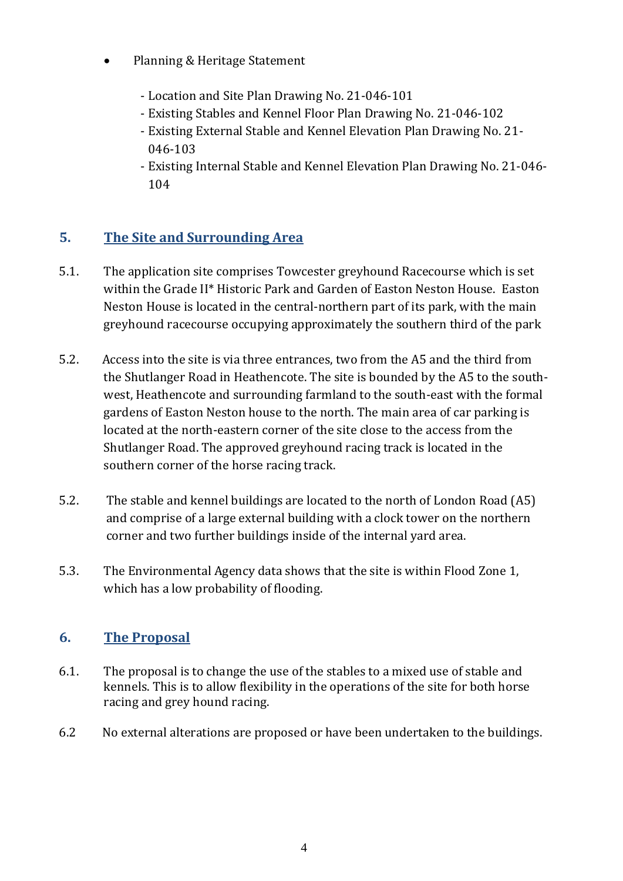- Planning & Heritage Statement
	- Location and Site Plan Drawing No. 21-046-101
	- Existing Stables and Kennel Floor Plan Drawing No. 21-046-102
	- Existing External Stable and Kennel Elevation Plan Drawing No. 21- 046-103
	- Existing Internal Stable and Kennel Elevation Plan Drawing No. 21-046- 104

## <span id="page-4-0"></span>**5. The Site and Surrounding Area**

- 5.1. The application site comprises Towcester greyhound Racecourse which is set within the Grade II\* Historic Park and Garden of Easton Neston House. Easton Neston House is located in the central-northern part of its park, with the main greyhound racecourse occupying approximately the southern third of the park
- 5.2. Access into the site is via three entrances, two from the A5 and the third from the Shutlanger Road in Heathencote. The site is bounded by the A5 to the southwest, Heathencote and surrounding farmland to the south-east with the formal gardens of Easton Neston house to the north. The main area of car parking is located at the north-eastern corner of the site close to the access from the Shutlanger Road. The approved greyhound racing track is located in the southern corner of the horse racing track.
- 5.2. The stable and kennel buildings are located to the north of London Road (A5) and comprise of a large external building with a clock tower on the northern corner and two further buildings inside of the internal yard area.
- 5.3. The Environmental Agency data shows that the site is within Flood Zone 1, which has a low probability of flooding.

#### <span id="page-4-1"></span>**6. The Proposal**

- 6.1. The proposal is to change the use of the stables to a mixed use of stable and kennels. This is to allow flexibility in the operations of the site for both horse racing and grey hound racing.
- 6.2 No external alterations are proposed or have been undertaken to the buildings.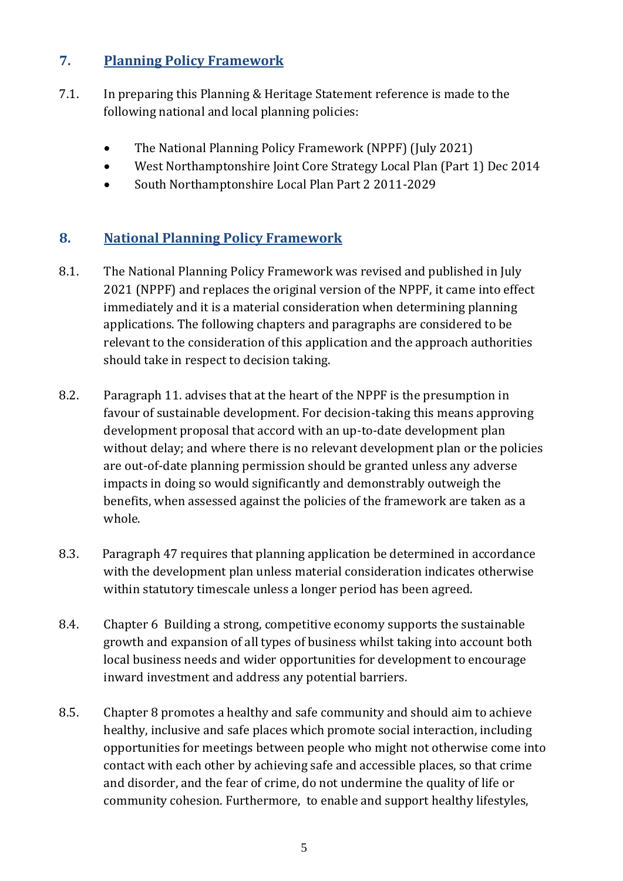### <span id="page-5-0"></span>**7. Planning Policy Framework**

- 7.1. In preparing this Planning & Heritage Statement reference is made to the following national and local planning policies:
	- The National Planning Policy Framework (NPPF) (July 2021)
	- West Northamptonshire Joint Core Strategy Local Plan (Part 1) Dec 2014
	- South Northamptonshire Local Plan Part 2 2011-2029

#### <span id="page-5-1"></span>**8. National Planning Policy Framework**

- 8.1. The National Planning Policy Framework was revised and published in July 2021 (NPPF) and replaces the original version of the NPPF, it came into effect immediately and it is a material consideration when determining planning applications. The following chapters and paragraphs are considered to be relevant to the consideration of this application and the approach authorities should take in respect to decision taking.
- 8.2. Paragraph 11. advises that at the heart of the NPPF is the presumption in favour of sustainable development. For decision-taking this means approving development proposal that accord with an up-to-date development plan without delay; and where there is no relevant development plan or the policies are out-of-date planning permission should be granted unless any adverse impacts in doing so would significantly and demonstrably outweigh the benefits, when assessed against the policies of the framework are taken as a whole.
- 8.3. Paragraph 47 requires that planning application be determined in accordance with the development plan unless material consideration indicates otherwise within statutory timescale unless a longer period has been agreed.
- 8.4. Chapter 6 Building a strong, competitive economy supports the sustainable growth and expansion of all types of business whilst taking into account both local business needs and wider opportunities for development to encourage inward investment and address any potential barriers.
- 8.5. Chapter 8 promotes a healthy and safe community and should aim to achieve healthy, inclusive and safe places which promote social interaction, including opportunities for meetings between people who might not otherwise come into contact with each other by achieving safe and accessible places, so that crime and disorder, and the fear of crime, do not undermine the quality of life or community cohesion. Furthermore, to enable and support healthy lifestyles,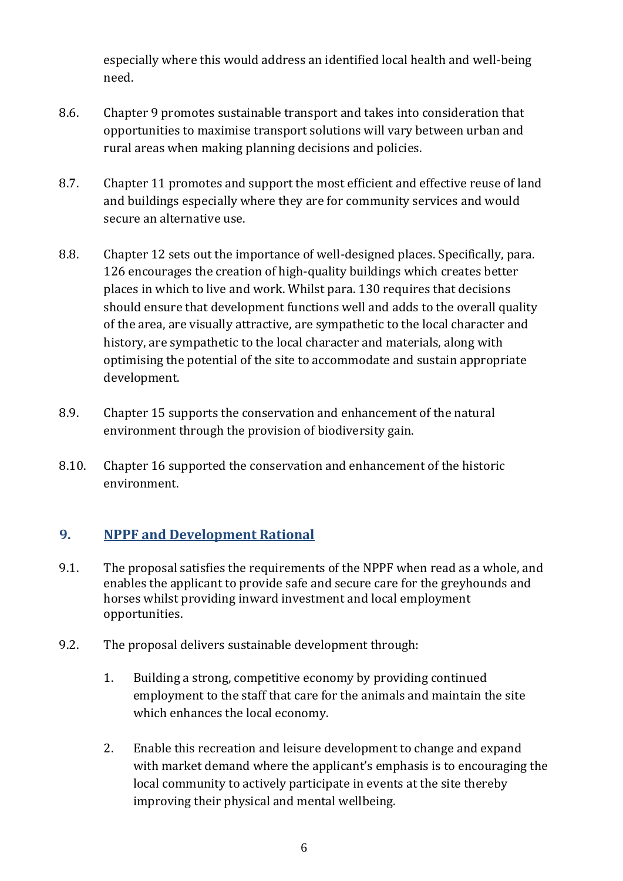especially where this would address an identified local health and well-being need.

- 8.6. Chapter 9 promotes sustainable transport and takes into consideration that opportunities to maximise transport solutions will vary between urban and rural areas when making planning decisions and policies.
- 8.7. Chapter 11 promotes and support the most efficient and effective reuse of land and buildings especially where they are for community services and would secure an alternative use.
- 8.8. Chapter 12 sets out the importance of well-designed places. Specifically, para. 126 encourages the creation of high-quality buildings which creates better places in which to live and work. Whilst para. 130 requires that decisions should ensure that development functions well and adds to the overall quality of the area, are visually attractive, are sympathetic to the local character and history, are sympathetic to the local character and materials, along with optimising the potential of the site to accommodate and sustain appropriate development.
- 8.9. Chapter 15 supports the conservation and enhancement of the natural environment through the provision of biodiversity gain.
- 8.10. Chapter 16 supported the conservation and enhancement of the historic environment.

#### <span id="page-6-0"></span>**9. NPPF and Development Rational**

- 9.1. The proposal satisfies the requirements of the NPPF when read as a whole, and enables the applicant to provide safe and secure care for the greyhounds and horses whilst providing inward investment and local employment opportunities.
- 9.2. The proposal delivers sustainable development through:
	- 1. Building a strong, competitive economy by providing continued employment to the staff that care for the animals and maintain the site which enhances the local economy.
	- 2. Enable this recreation and leisure development to change and expand with market demand where the applicant's emphasis is to encouraging the local community to actively participate in events at the site thereby improving their physical and mental wellbeing.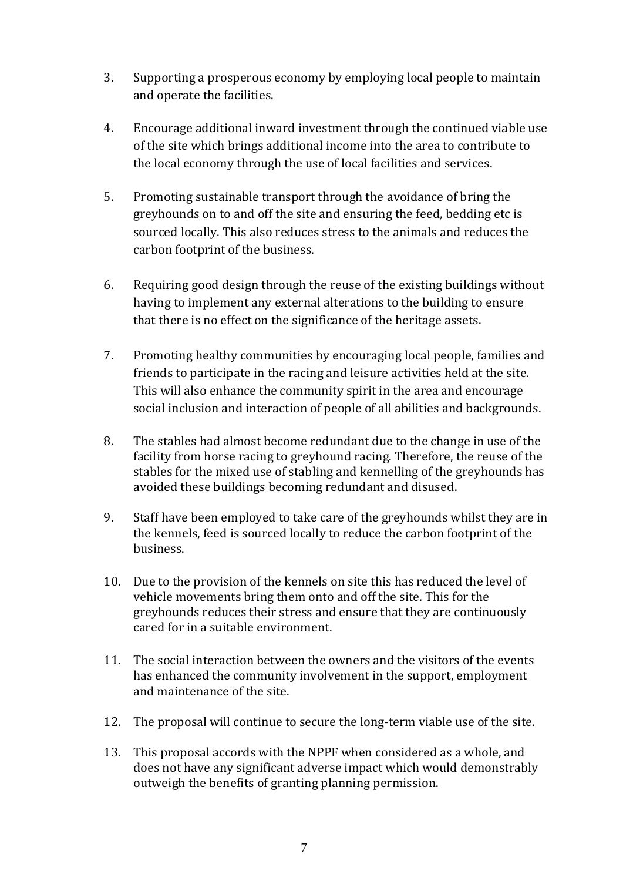- 3. Supporting a prosperous economy by employing local people to maintain and operate the facilities.
- 4. Encourage additional inward investment through the continued viable use of the site which brings additional income into the area to contribute to the local economy through the use of local facilities and services.
- 5. Promoting sustainable transport through the avoidance of bring the greyhounds on to and off the site and ensuring the feed, bedding etc is sourced locally. This also reduces stress to the animals and reduces the carbon footprint of the business.
- 6. Requiring good design through the reuse of the existing buildings without having to implement any external alterations to the building to ensure that there is no effect on the significance of the heritage assets.
- 7. Promoting healthy communities by encouraging local people, families and friends to participate in the racing and leisure activities held at the site. This will also enhance the community spirit in the area and encourage social inclusion and interaction of people of all abilities and backgrounds.
- 8. The stables had almost become redundant due to the change in use of the facility from horse racing to greyhound racing. Therefore, the reuse of the stables for the mixed use of stabling and kennelling of the greyhounds has avoided these buildings becoming redundant and disused.
- 9. Staff have been employed to take care of the greyhounds whilst they are in the kennels, feed is sourced locally to reduce the carbon footprint of the business.
- 10. Due to the provision of the kennels on site this has reduced the level of vehicle movements bring them onto and off the site. This for the greyhounds reduces their stress and ensure that they are continuously cared for in a suitable environment.
- 11. The social interaction between the owners and the visitors of the events has enhanced the community involvement in the support, employment and maintenance of the site.
- 12. The proposal will continue to secure the long-term viable use of the site.
- 13. This proposal accords with the NPPF when considered as a whole, and does not have any significant adverse impact which would demonstrably outweigh the benefits of granting planning permission.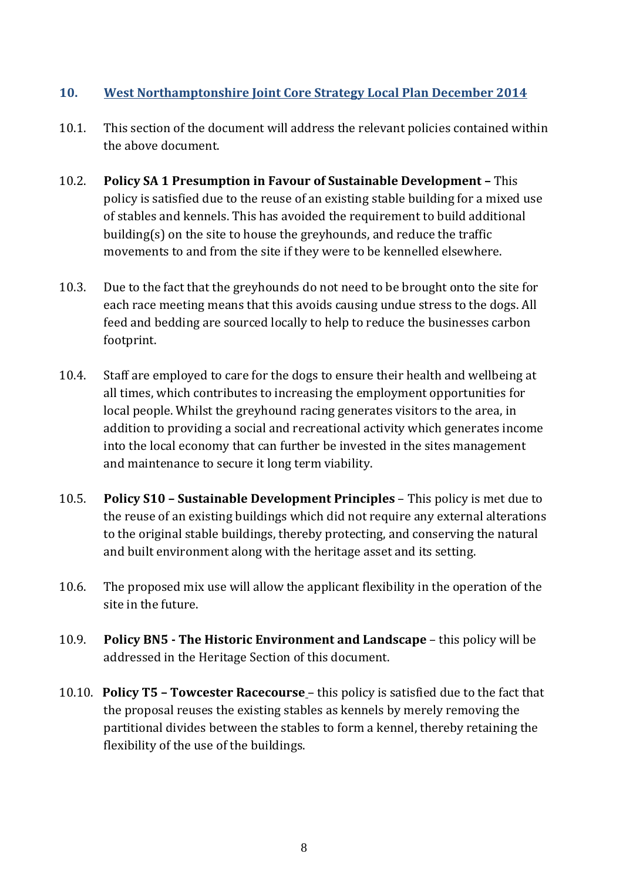#### **10. West Northamptonshire Joint Core Strategy Local Plan December 2014**

- 10.1. This section of the document will address the relevant policies contained within the above document.
- 10.2. **Policy SA 1 Presumption in Favour of Sustainable Development –** This policy is satisfied due to the reuse of an existing stable building for a mixed use of stables and kennels. This has avoided the requirement to build additional building(s) on the site to house the greyhounds, and reduce the traffic movements to and from the site if they were to be kennelled elsewhere.
- 10.3. Due to the fact that the greyhounds do not need to be brought onto the site for each race meeting means that this avoids causing undue stress to the dogs. All feed and bedding are sourced locally to help to reduce the businesses carbon footprint.
- 10.4. Staff are employed to care for the dogs to ensure their health and wellbeing at all times, which contributes to increasing the employment opportunities for local people. Whilst the greyhound racing generates visitors to the area, in addition to providing a social and recreational activity which generates income into the local economy that can further be invested in the sites management and maintenance to secure it long term viability.
- 10.5. **Policy S10 – Sustainable Development Principles** This policy is met due to the reuse of an existing buildings which did not require any external alterations to the original stable buildings, thereby protecting, and conserving the natural and built environment along with the heritage asset and its setting.
- 10.6. The proposed mix use will allow the applicant flexibility in the operation of the site in the future.
- 10.9. **Policy BN5 - The Historic Environment and Landscape** this policy will be addressed in the Heritage Section of this document.
- 10.10. **Policy T5 – Towcester Racecourse** this policy is satisfied due to the fact that the proposal reuses the existing stables as kennels by merely removing the partitional divides between the stables to form a kennel, thereby retaining the flexibility of the use of the buildings.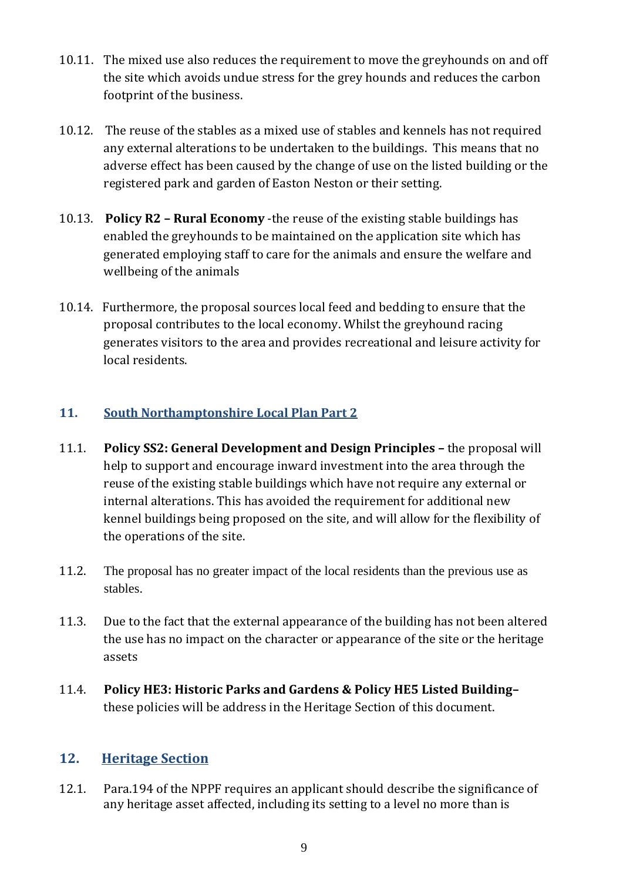- 10.11. The mixed use also reduces the requirement to move the greyhounds on and off the site which avoids undue stress for the grey hounds and reduces the carbon footprint of the business.
- 10.12. The reuse of the stables as a mixed use of stables and kennels has not required any external alterations to be undertaken to the buildings. This means that no adverse effect has been caused by the change of use on the listed building or the registered park and garden of Easton Neston or their setting.
- 10.13. **Policy R2 – Rural Economy** -the reuse of the existing stable buildings has enabled the greyhounds to be maintained on the application site which has generated employing staff to care for the animals and ensure the welfare and wellbeing of the animals
- 10.14. Furthermore, the proposal sources local feed and bedding to ensure that the proposal contributes to the local economy. Whilst the greyhound racing generates visitors to the area and provides recreational and leisure activity for local residents.

#### **11. South Northamptonshire Local Plan Part 2**

- 11.1. **Policy SS2: General Development and Design Principles –** the proposal will help to support and encourage inward investment into the area through the reuse of the existing stable buildings which have not require any external or internal alterations. This has avoided the requirement for additional new kennel buildings being proposed on the site, and will allow for the flexibility of the operations of the site.
- 11.2. The proposal has no greater impact of the local residents than the previous use as stables.
- 11.3. Due to the fact that the external appearance of the building has not been altered the use has no impact on the character or appearance of the site or the heritage assets
- 11.4. **Policy HE3: Historic Parks and Gardens & Policy HE5 Listed Building–** these policies will be address in the Heritage Section of this document.

#### <span id="page-9-0"></span>**12. Heritage Section**

12.1. Para.194 of the NPPF requires an applicant should describe the significance of any heritage asset affected, including its setting to a level no more than is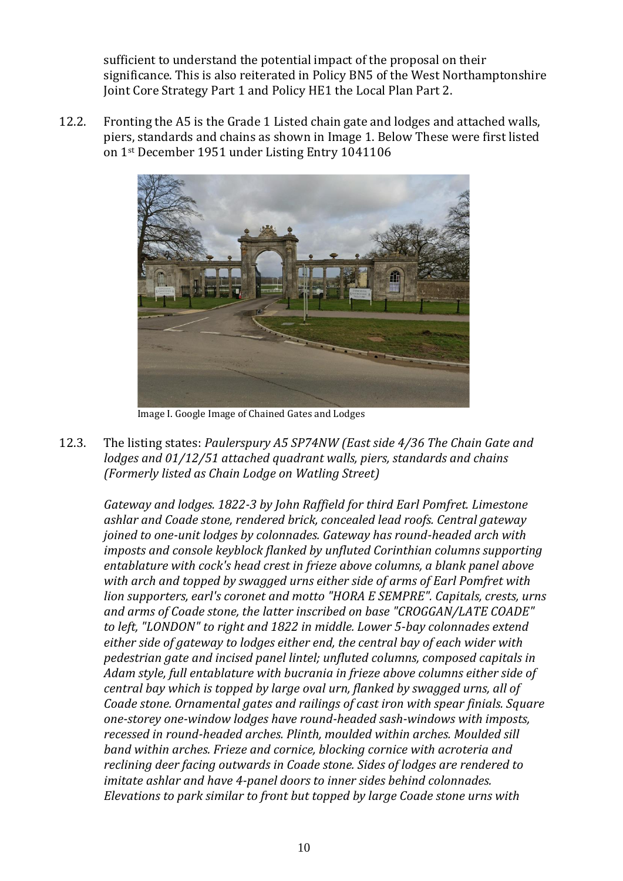sufficient to understand the potential impact of the proposal on their significance. This is also reiterated in Policy BN5 of the West Northamptonshire Joint Core Strategy Part 1 and Policy HE1 the Local Plan Part 2.

12.2. Fronting the A5 is the Grade 1 Listed chain gate and lodges and attached walls, piers, standards and chains as shown in Image 1. Below These were first listed on 1st December 1951 under Listing Entry 1041106



Image I. Google Image of Chained Gates and Lodges

12.3. The listing states: *Paulerspury A5 SP74NW (East side 4/36 The Chain Gate and lodges and 01/12/51 attached quadrant walls, piers, standards and chains (Formerly listed as Chain Lodge on Watling Street)*

*Gateway and lodges. 1822-3 by John Raffield for third Earl Pomfret. Limestone ashlar and Coade stone, rendered brick, concealed lead roofs. Central gateway joined to one-unit lodges by colonnades. Gateway has round-headed arch with imposts and console keyblock flanked by unfluted Corinthian columns supporting entablature with cock's head crest in frieze above columns, a blank panel above with arch and topped by swagged urns either side of arms of Earl Pomfret with lion supporters, earl's coronet and motto "HORA E SEMPRE". Capitals, crests, urns and arms of Coade stone, the latter inscribed on base "CROGGAN/LATE COADE" to left, "LONDON" to right and 1822 in middle. Lower 5-bay colonnades extend either side of gateway to lodges either end, the central bay of each wider with pedestrian gate and incised panel lintel; unfluted columns, composed capitals in Adam style, full entablature with bucrania in frieze above columns either side of central bay which is topped by large oval urn, flanked by swagged urns, all of Coade stone. Ornamental gates and railings of cast iron with spear finials. Square one-storey one-window lodges have round-headed sash-windows with imposts, recessed in round-headed arches. Plinth, moulded within arches. Moulded sill band within arches. Frieze and cornice, blocking cornice with acroteria and reclining deer facing outwards in Coade stone. Sides of lodges are rendered to imitate ashlar and have 4-panel doors to inner sides behind colonnades. Elevations to park similar to front but topped by large Coade stone urns with*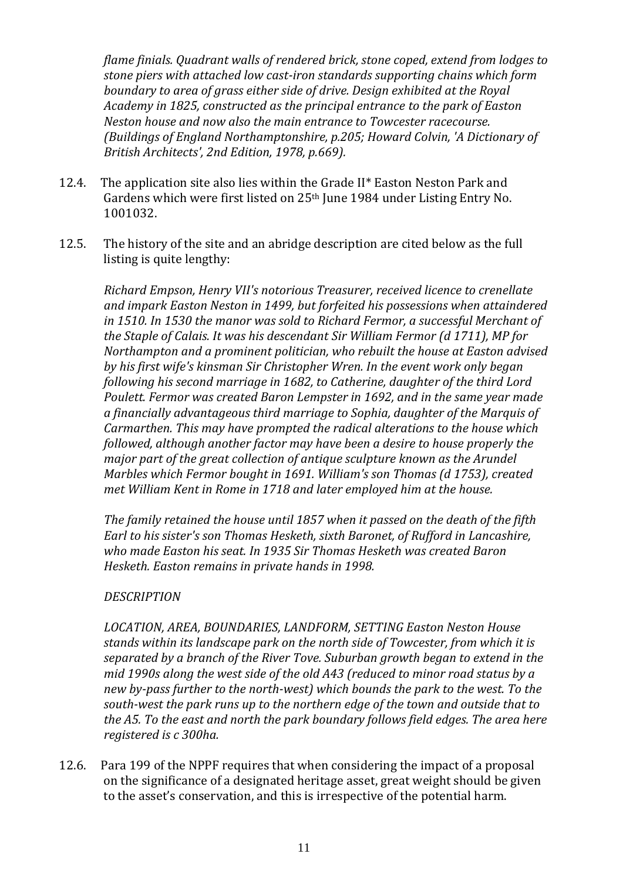*flame finials. Quadrant walls of rendered brick, stone coped, extend from lodges to stone piers with attached low cast-iron standards supporting chains which form boundary to area of grass either side of drive. Design exhibited at the Royal Academy in 1825, constructed as the principal entrance to the park of Easton Neston house and now also the main entrance to Towcester racecourse. (Buildings of England Northamptonshire, p.205; Howard Colvin, 'A Dictionary of British Architects', 2nd Edition, 1978, p.669).*

- 12.4. The application site also lies within the Grade II\* Easton Neston Park and Gardens which were first listed on 25<sup>th</sup> June 1984 under Listing Entry No. 1001032.
- 12.5. The history of the site and an abridge description are cited below as the full listing is quite lengthy:

*Richard Empson, Henry VII's notorious Treasurer, received licence to crenellate and impark Easton Neston in 1499, but forfeited his possessions when attaindered in 1510. In 1530 the manor was sold to Richard Fermor, a successful Merchant of the Staple of Calais. It was his descendant Sir William Fermor (d 1711), MP for Northampton and a prominent politician, who rebuilt the house at Easton advised by his first wife's kinsman Sir Christopher Wren. In the event work only began following his second marriage in 1682, to Catherine, daughter of the third Lord Poulett. Fermor was created Baron Lempster in 1692, and in the same year made a financially advantageous third marriage to Sophia, daughter of the Marquis of Carmarthen. This may have prompted the radical alterations to the house which followed, although another factor may have been a desire to house properly the major part of the great collection of antique sculpture known as the Arundel Marbles which Fermor bought in 1691. William's son Thomas (d 1753), created met William Kent in Rome in 1718 and later employed him at the house.*

*The family retained the house until 1857 when it passed on the death of the fifth Earl to his sister's son Thomas Hesketh, sixth Baronet, of Rufford in Lancashire, who made Easton his seat. In 1935 Sir Thomas Hesketh was created Baron Hesketh. Easton remains in private hands in 1998.*

#### *DESCRIPTION*

*LOCATION, AREA, BOUNDARIES, LANDFORM, SETTING Easton Neston House stands within its landscape park on the north side of Towcester, from which it is separated by a branch of the River Tove. Suburban growth began to extend in the mid 1990s along the west side of the old A43 (reduced to minor road status by a new by-pass further to the north-west) which bounds the park to the west. To the south-west the park runs up to the northern edge of the town and outside that to the A5. To the east and north the park boundary follows field edges. The area here registered is c 300ha.*

12.6. Para 199 of the NPPF requires that when considering the impact of a proposal on the significance of a designated heritage asset, great weight should be given to the asset's conservation, and this is irrespective of the potential harm.